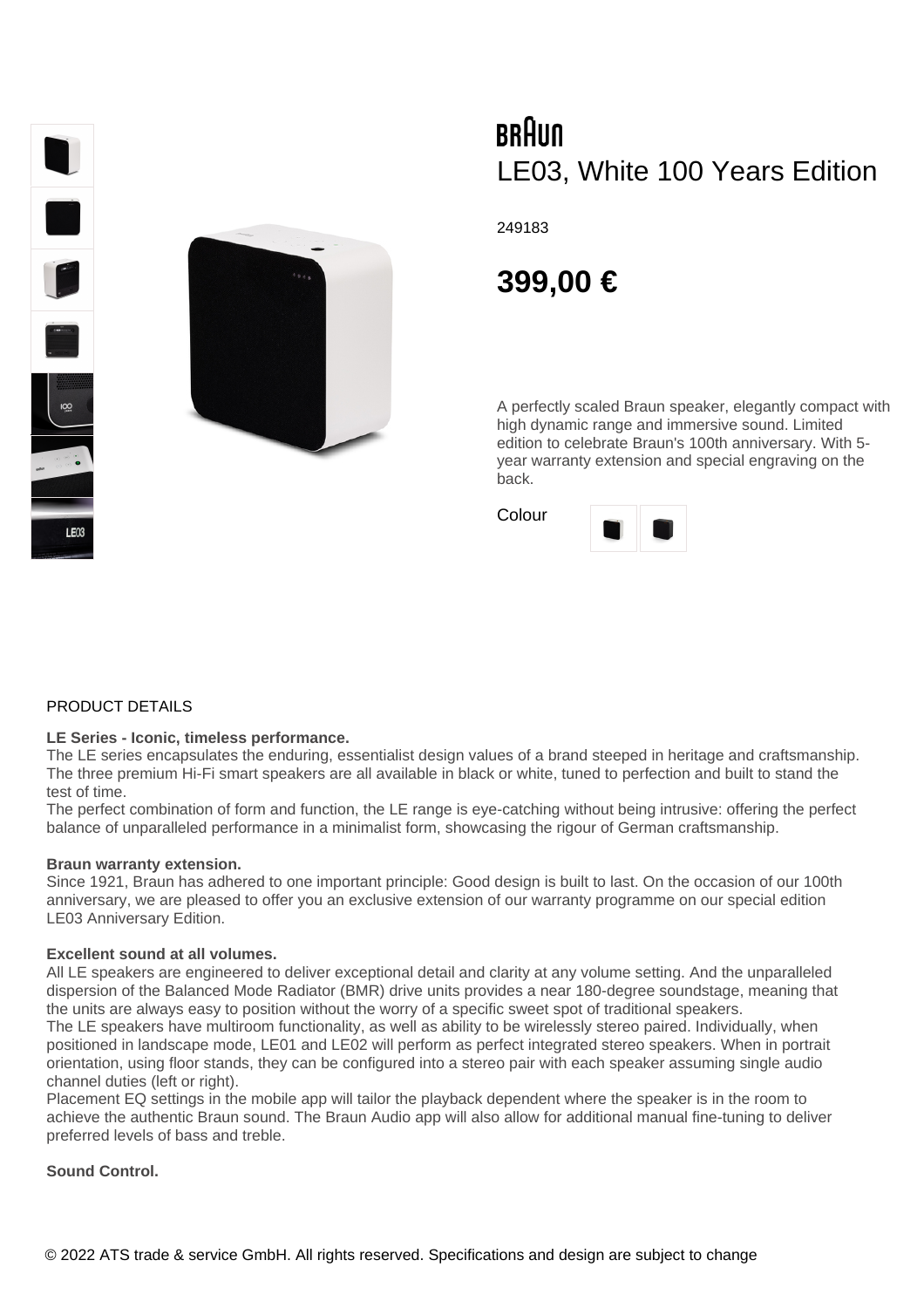

# BRAUN LE03, White 100 Years Edition

249183

# **399,00 €**

A perfectly scaled Braun speaker, elegantly compact with high dynamic range and immersive sound. Limited edition to celebrate Braun's 100th anniversary. With 5 year warranty extension and special engraving on the back.



## PRODUCT DETAILS

#### **LE Series - Iconic, timeless performance.**

The LE series encapsulates the enduring, essentialist design values of a brand steeped in heritage and craftsmanship. The three premium Hi-Fi smart speakers are all available in black or white, tuned to perfection and built to stand the test of time.

The perfect combination of form and function, the LE range is eye-catching without being intrusive: offering the perfect balance of unparalleled performance in a minimalist form, showcasing the rigour of German craftsmanship.

#### **Braun warranty extension.**

Since 1921, Braun has adhered to one important principle: Good design is built to last. On the occasion of our 100th anniversary, we are pleased to offer you an exclusive extension of our warranty programme on our special edition LE03 Anniversary Edition.

#### **Excellent sound at all volumes.**

All LE speakers are engineered to deliver exceptional detail and clarity at any volume setting. And the unparalleled dispersion of the Balanced Mode Radiator (BMR) drive units provides a near 180-degree soundstage, meaning that the units are always easy to position without the worry of a specific sweet spot of traditional speakers. The LE speakers have multiroom functionality, as well as ability to be wirelessly stereo paired. Individually, when

positioned in landscape mode, LE01 and LE02 will perform as perfect integrated stereo speakers. When in portrait orientation, using floor stands, they can be configured into a stereo pair with each speaker assuming single audio channel duties (left or right).

Placement EQ settings in the mobile app will tailor the playback dependent where the speaker is in the room to achieve the authentic Braun sound. The Braun Audio app will also allow for additional manual fine-tuning to deliver preferred levels of bass and treble.

#### **Sound Control.**